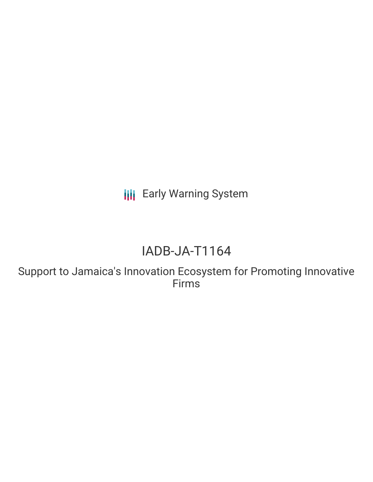**III** Early Warning System

# IADB-JA-T1164

Support to Jamaica's Innovation Ecosystem for Promoting Innovative Firms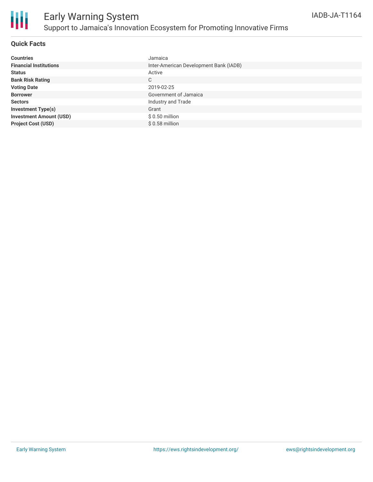

### **Quick Facts**

| <b>Countries</b>               | Jamaica                                |
|--------------------------------|----------------------------------------|
| <b>Financial Institutions</b>  | Inter-American Development Bank (IADB) |
| <b>Status</b>                  | Active                                 |
| <b>Bank Risk Rating</b>        | C                                      |
| <b>Voting Date</b>             | 2019-02-25                             |
| <b>Borrower</b>                | Government of Jamaica                  |
| <b>Sectors</b>                 | Industry and Trade                     |
| <b>Investment Type(s)</b>      | Grant                                  |
| <b>Investment Amount (USD)</b> | $$0.50$ million                        |
| <b>Project Cost (USD)</b>      | $$0.58$ million                        |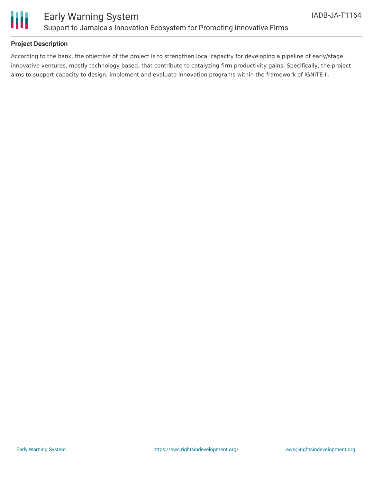

## **Project Description**

According to the bank, the objective of the project is to strengthen local capacity for developing a pipeline of early/stage innovative ventures, mostly technology based, that contribute to catalyzing firm productivity gains. Specifically, the project aims to support capacity to design, implement and evaluate innovation programs within the framework of IGNITE II.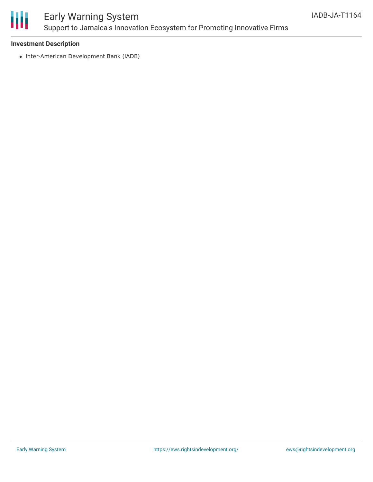

# Early Warning System Support to Jamaica's Innovation Ecosystem for Promoting Innovative Firms

#### **Investment Description**

• Inter-American Development Bank (IADB)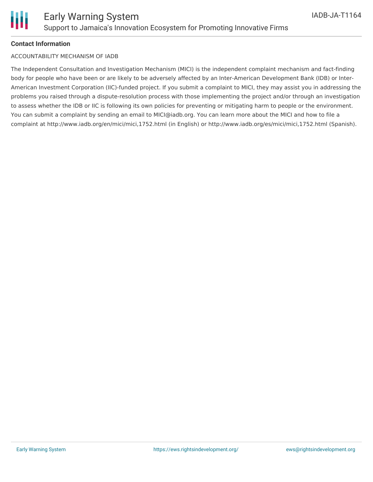## **Contact Information**

#### ACCOUNTABILITY MECHANISM OF IADB

The Independent Consultation and Investigation Mechanism (MICI) is the independent complaint mechanism and fact-finding body for people who have been or are likely to be adversely affected by an Inter-American Development Bank (IDB) or Inter-American Investment Corporation (IIC)-funded project. If you submit a complaint to MICI, they may assist you in addressing the problems you raised through a dispute-resolution process with those implementing the project and/or through an investigation to assess whether the IDB or IIC is following its own policies for preventing or mitigating harm to people or the environment. You can submit a complaint by sending an email to MICI@iadb.org. You can learn more about the MICI and how to file a complaint at http://www.iadb.org/en/mici/mici,1752.html (in English) or http://www.iadb.org/es/mici/mici,1752.html (Spanish).